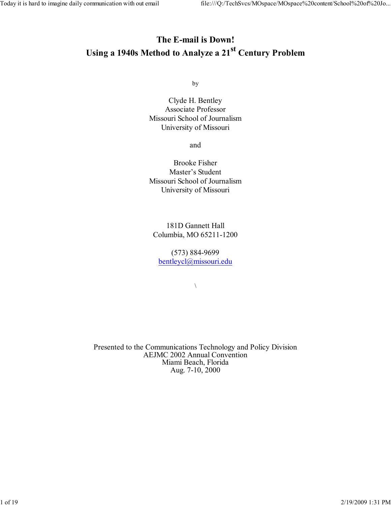## The E-mail is Down! Using a 1940s Method to Analyze a 21<sup>st</sup> Century Problem

by

Clyde H. Bentley Associate Professor Missouri School of Journalism University of Missouri

and

Brooke Fisher Master's Student Missouri School of Journalism University of Missouri

181D Gannett Hall Columbia, MO 65211-1200

(573) 884-9699 bentleycl@missouri.edu

 $\bar{\phantom{a}}$ 

Presented to the Communications Technology and Policy Division AEJMC 2002 Annual Convention Miami Beach, Florida Aug. 7-10, 2000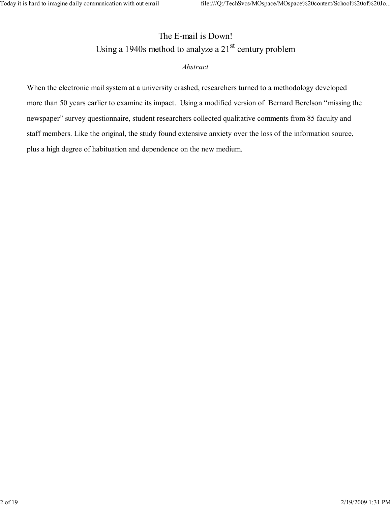# The E-mail is Down! Using a 1940s method to analyze a  $21<sup>st</sup>$  century problem Abstract

When the electronic mail system at a university crashed, researchers turned to a methodology developed more than 50 years earlier to examine its impact. Using a modified version of Bernard Berelson "missing the newspaper" survey questionnaire, student researchers collected qualitative comments from 85 faculty and staff members. Like the original, the study found extensive anxiety over the loss of the information source, plus a high degree of habituation and dependence on the new medium.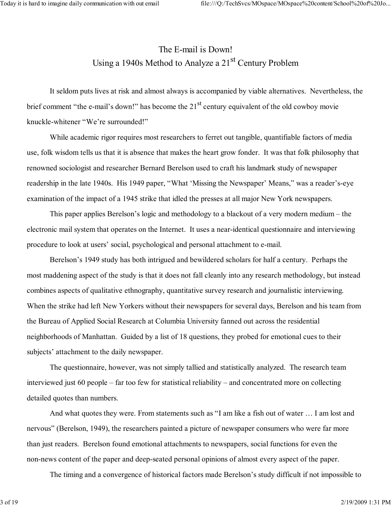# The E-mail is Down! Using a 1940s Method to Analyze a 21<sup>st</sup> Century Problem

It seldom puts lives at risk and almost always is accompanied by viable alternatives. Nevertheless, the brief comment "the e-mail's down!" has become the 21<sup>st</sup> century equivalent of the old cowboy movie knuckle-whitener "We're surrounded!"

While academic rigor requires most researchers to ferret out tangible, quantifiable factors of media use, folk wisdom tells us that it is absence that makes the heart grow fonder. It was that folk philosophy that renowned sociologist and researcher Bernard Berelson used to craft his landmark study of newspaper readership in the late 1940s. His 1949 paper, "What 'Missing the Newspaper' Means," was a reader's-eye examination of the impact of a 1945 strike that idled the presses at all major New York newspapers.

This paper applies Berelson's logic and methodology to a blackout of a very modern medium – the electronic mail system that operates on the Internet. It uses a near-identical questionnaire and interviewing procedure to look at users' social, psychological and personal attachment to e-mail.

Berelson's 1949 study has both intrigued and bewildered scholars for half a century. Perhaps the most maddening aspect of the study is that it does not fall cleanly into any research methodology, but instead combines aspects of qualitative ethnography, quantitative survey research and journalistic interviewing. When the strike had left New Yorkers without their newspapers for several days, Berelson and his team from the Bureau of Applied Social Research at Columbia University fanned out across the residential neighborhoods of Manhattan. Guided by a list of 18 questions, they probed for emotional cues to their subjects' attachment to the daily newspaper.

The questionnaire, however, was not simply tallied and statistically analyzed. The research team interviewed just 60 people – far too few for statistical reliability – and concentrated more on collecting detailed quotes than numbers.

And what quotes they were. From statements such as "I am like a fish out of water … I am lost and nervous" (Berelson, 1949), the researchers painted a picture of newspaper consumers who were far more than just readers. Berelson found emotional attachments to newspapers, social functions for even the non-news content of the paper and deep-seated personal opinions of almost every aspect of the paper.

The timing and a convergence of historical factors made Berelson's study difficult if not impossible to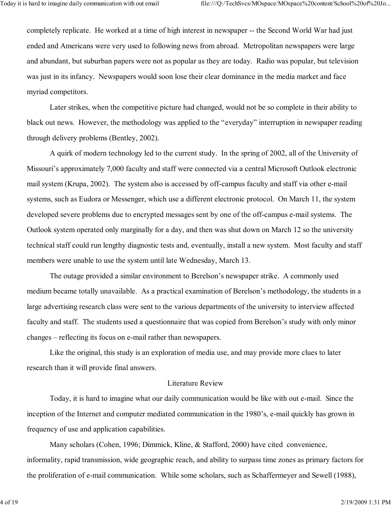completely replicate. He worked at a time of high interest in newspaper -- the Second World War had just ended and Americans were very used to following news from abroad. Metropolitan newspapers were large and abundant, but suburban papers were not as popular as they are today. Radio was popular, but television was just in its infancy. Newspapers would soon lose their clear dominance in the media market and face myriad competitors.

Later strikes, when the competitive picture had changed, would not be so complete in their ability to black out news. However, the methodology was applied to the "everyday" interruption in newspaper reading through delivery problems (Bentley, 2002).

A quirk of modern technology led to the current study. In the spring of 2002, all of the University of Missouri's approximately 7,000 faculty and staff were connected via a central Microsoft Outlook electronic mail system (Krupa, 2002). The system also is accessed by off-campus faculty and staff via other e-mail systems, such as Eudora or Messenger, which use a different electronic protocol. On March 11, the system developed severe problems due to encrypted messages sent by one of the off-campus e-mail systems. The Outlook system operated only marginally for a day, and then was shut down on March 12 so the university technical staff could run lengthy diagnostic tests and, eventually, install a new system. Most faculty and staff members were unable to use the system until late Wednesday, March 13.

The outage provided a similar environment to Berelson's newspaper strike. A commonly used medium became totally unavailable. As a practical examination of Berelson's methodology, the students in a large advertising research class were sent to the various departments of the university to interview affected faculty and staff. The students used a questionnaire that was copied from Berelson's study with only minor changes – reflecting its focus on e-mail rather than newspapers.

Like the original, this study is an exploration of media use, and may provide more clues to later research than it will provide final answers.

## Literature Review

Today, it is hard to imagine what our daily communication would be like with out e-mail. Since the inception of the Internet and computer mediated communication in the 1980's, e-mail quickly has grown in frequency of use and application capabilities.

Many scholars (Cohen, 1996; Dimmick, Kline, & Stafford, 2000) have cited convenience, informality, rapid transmission, wide geographic reach, and ability to surpass time zones as primary factors for the proliferation of e-mail communication. While some scholars, such as Schaffermeyer and Sewell (1988),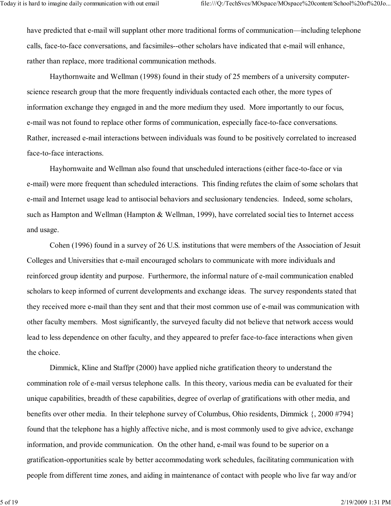have predicted that e-mail will supplant other more traditional forms of communication—including telephone calls, face-to-face conversations, and facsimiles--other scholars have indicated that e-mail will enhance, rather than replace, more traditional communication methods.

Haythornwaite and Wellman (1998) found in their study of 25 members of a university computerscience research group that the more frequently individuals contacted each other, the more types of information exchange they engaged in and the more medium they used. More importantly to our focus, e-mail was not found to replace other forms of communication, especially face-to-face conversations. Rather, increased e-mail interactions between individuals was found to be positively correlated to increased face-to-face interactions.

Hayhornwaite and Wellman also found that unscheduled interactions (either face-to-face or via e-mail) were more frequent than scheduled interactions. This finding refutes the claim of some scholars that e-mail and Internet usage lead to antisocial behaviors and seclusionary tendencies. Indeed, some scholars, such as Hampton and Wellman (Hampton & Wellman, 1999), have correlated social ties to Internet access and usage.

Cohen (1996) found in a survey of 26 U.S. institutions that were members of the Association of Jesuit Colleges and Universities that e-mail encouraged scholars to communicate with more individuals and reinforced group identity and purpose. Furthermore, the informal nature of e-mail communication enabled scholars to keep informed of current developments and exchange ideas. The survey respondents stated that they received more e-mail than they sent and that their most common use of e-mail was communication with other faculty members. Most significantly, the surveyed faculty did not believe that network access would lead to less dependence on other faculty, and they appeared to prefer face-to-face interactions when given the choice.

Dimmick, Kline and Staffpr (2000) have applied niche gratification theory to understand the commination role of e-mail versus telephone calls. In this theory, various media can be evaluated for their unique capabilities, breadth of these capabilities, degree of overlap of gratifications with other media, and benefits over other media. In their telephone survey of Columbus, Ohio residents, Dimmick {, 2000 #794} found that the telephone has a highly affective niche, and is most commonly used to give advice, exchange information, and provide communication. On the other hand, e-mail was found to be superior on a gratification-opportunities scale by better accommodating work schedules, facilitating communication with people from different time zones, and aiding in maintenance of contact with people who live far way and/or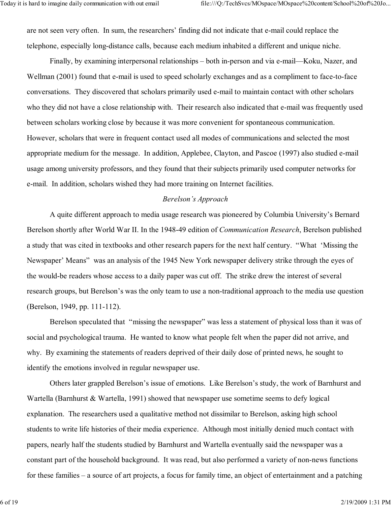are not seen very often. In sum, the researchers' finding did not indicate that e-mail could replace the telephone, especially long-distance calls, because each medium inhabited a different and unique niche.

Finally, by examining interpersonal relationships – both in-person and via e-mail—Koku, Nazer, and Wellman (2001) found that e-mail is used to speed scholarly exchanges and as a compliment to face-to-face conversations. They discovered that scholars primarily used e-mail to maintain contact with other scholars who they did not have a close relationship with. Their research also indicated that e-mail was frequently used between scholars working close by because it was more convenient for spontaneous communication. However, scholars that were in frequent contact used all modes of communications and selected the most appropriate medium for the message. In addition, Applebee, Clayton, and Pascoe (1997) also studied e-mail usage among university professors, and they found that their subjects primarily used computer networks for e-mail. In addition, scholars wished they had more training on Internet facilities.

#### Berelson's Approach

A quite different approach to media usage research was pioneered by Columbia University's Bernard Berelson shortly after World War II. In the 1948-49 edition of Communication Research, Berelson published a study that was cited in textbooks and other research papers for the next half century. "What 'Missing the Newspaper' Means" was an analysis of the 1945 New York newspaper delivery strike through the eyes of the would-be readers whose access to a daily paper was cut off. The strike drew the interest of several research groups, but Berelson's was the only team to use a non-traditional approach to the media use question (Berelson, 1949, pp. 111-112).

Berelson speculated that "missing the newspaper" was less a statement of physical loss than it was of social and psychological trauma. He wanted to know what people felt when the paper did not arrive, and why. By examining the statements of readers deprived of their daily dose of printed news, he sought to identify the emotions involved in regular newspaper use.

Others later grappled Berelson's issue of emotions. Like Berelson's study, the work of Barnhurst and Wartella (Barnhurst & Wartella, 1991) showed that newspaper use sometime seems to defy logical explanation. The researchers used a qualitative method not dissimilar to Berelson, asking high school students to write life histories of their media experience. Although most initially denied much contact with papers, nearly half the students studied by Barnhurst and Wartella eventually said the newspaper was a constant part of the household background. It was read, but also performed a variety of non-news functions for these families – a source of art projects, a focus for family time, an object of entertainment and a patching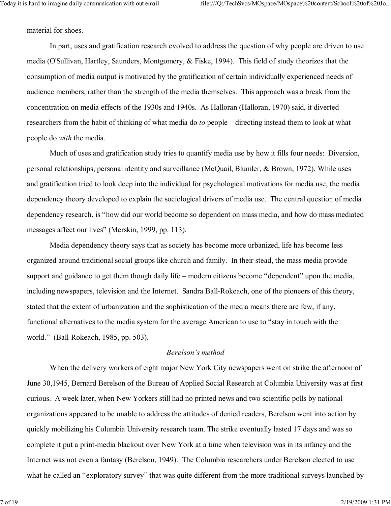material for shoes.

 In part, uses and gratification research evolved to address the question of why people are driven to use media (O'Sullivan, Hartley, Saunders, Montgomery, & Fiske, 1994). This field of study theorizes that the consumption of media output is motivated by the gratification of certain individually experienced needs of audience members, rather than the strength of the media themselves. This approach was a break from the concentration on media effects of the 1930s and 1940s. As Halloran (Halloran, 1970) said, it diverted researchers from the habit of thinking of what media do to people – directing instead them to look at what people do with the media.

 Much of uses and gratification study tries to quantify media use by how it fills four needs: Diversion, personal relationships, personal identity and surveillance (McQuail, Blumler, & Brown, 1972). While uses and gratification tried to look deep into the individual for psychological motivations for media use, the media dependency theory developed to explain the sociological drivers of media use. The central question of media dependency research, is "how did our world become so dependent on mass media, and how do mass mediated messages affect our lives" (Merskin, 1999, pp. 113).

 Media dependency theory says that as society has become more urbanized, life has become less organized around traditional social groups like church and family. In their stead, the mass media provide support and guidance to get them though daily life – modern citizens become "dependent" upon the media, including newspapers, television and the Internet. Sandra Ball-Rokeach, one of the pioneers of this theory, stated that the extent of urbanization and the sophistication of the media means there are few, if any, functional alternatives to the media system for the average American to use to "stay in touch with the world." (Ball-Rokeach, 1985, pp. 503).

### Berelson's method

 When the delivery workers of eight major New York City newspapers went on strike the afternoon of June 30,1945, Bernard Berelson of the Bureau of Applied Social Research at Columbia University was at first curious. A week later, when New Yorkers still had no printed news and two scientific polls by national organizations appeared to be unable to address the attitudes of denied readers, Berelson went into action by quickly mobilizing his Columbia University research team. The strike eventually lasted 17 days and was so complete it put a print-media blackout over New York at a time when television was in its infancy and the Internet was not even a fantasy (Berelson, 1949). The Columbia researchers under Berelson elected to use what he called an "exploratory survey" that was quite different from the more traditional surveys launched by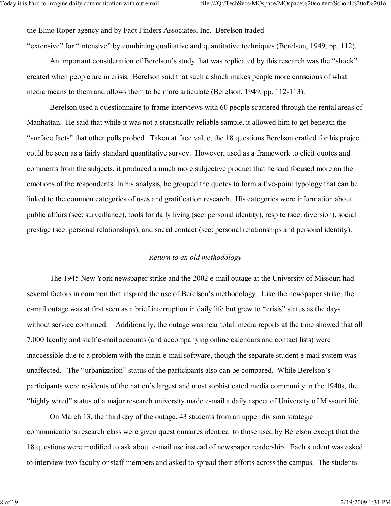the Elmo Roper agency and by Fact Finders Associates, Inc. Berelson traded

"extensive" for "intensive" by combining qualitative and quantitative techniques (Berelson, 1949, pp. 112).

 An important consideration of Berelson's study that was replicated by this research was the "shock" created when people are in crisis. Berelson said that such a shock makes people more conscious of what media means to them and allows them to be more articulate (Berelson, 1949, pp. 112-113).

 Berelson used a questionnaire to frame interviews with 60 people scattered through the rental areas of Manhattan. He said that while it was not a statistically reliable sample, it allowed him to get beneath the "surface facts" that other polls probed. Taken at face value, the 18 questions Berelson crafted for his project could be seen as a fairly standard quantitative survey. However, used as a framework to elicit quotes and comments from the subjects, it produced a much more subjective product that he said focused more on the emotions of the respondents. In his analysis, he grouped the quotes to form a five-point typology that can be linked to the common categories of uses and gratification research. His categories were information about public affairs (see: surveillance), tools for daily living (see: personal identity), respite (see: diversion), social prestige (see: personal relationships), and social contact (see: personal relationships and personal identity).

### Return to an old methodology

The 1945 New York newspaper strike and the 2002 e-mail outage at the University of Missouri had several factors in common that inspired the use of Berelson's methodology. Like the newspaper strike, the e-mail outage was at first seen as a brief interruption in daily life but grew to "crisis" status as the days without service continued. Additionally, the outage was near total: media reports at the time showed that all 7,000 faculty and staff e-mail accounts (and accompanying online calendars and contact lists) were inaccessible due to a problem with the main e-mail software, though the separate student e-mail system was unaffected. The "urbanization" status of the participants also can be compared. While Berelson's participants were residents of the nation's largest and most sophisticated media community in the 1940s, the "highly wired" status of a major research university made e-mail a daily aspect of University of Missouri life.

On March 13, the third day of the outage, 43 students from an upper division strategic communications research class were given questionnaires identical to those used by Berelson except that the 18 questions were modified to ask about e-mail use instead of newspaper readership. Each student was asked to interview two faculty or staff members and asked to spread their efforts across the campus. The students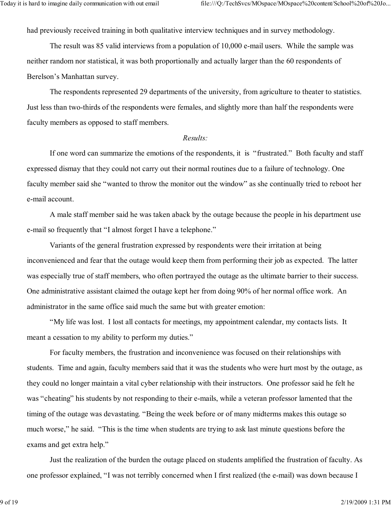had previously received training in both qualitative interview techniques and in survey methodology.

The result was 85 valid interviews from a population of 10,000 e-mail users. While the sample was neither random nor statistical, it was both proportionally and actually larger than the 60 respondents of Berelson's Manhattan survey.

The respondents represented 29 departments of the university, from agriculture to theater to statistics. Just less than two-thirds of the respondents were females, and slightly more than half the respondents were faculty members as opposed to staff members.

#### Results:

If one word can summarize the emotions of the respondents, it is "frustrated." Both faculty and staff expressed dismay that they could not carry out their normal routines due to a failure of technology. One faculty member said she "wanted to throw the monitor out the window" as she continually tried to reboot her e-mail account.

A male staff member said he was taken aback by the outage because the people in his department use e-mail so frequently that "I almost forget I have a telephone."

Variants of the general frustration expressed by respondents were their irritation at being inconvenienced and fear that the outage would keep them from performing their job as expected. The latter was especially true of staff members, who often portrayed the outage as the ultimate barrier to their success. One administrative assistant claimed the outage kept her from doing 90% of her normal office work. An administrator in the same office said much the same but with greater emotion:

"My life was lost. I lost all contacts for meetings, my appointment calendar, my contacts lists. It meant a cessation to my ability to perform my duties."

For faculty members, the frustration and inconvenience was focused on their relationships with students. Time and again, faculty members said that it was the students who were hurt most by the outage, as they could no longer maintain a vital cyber relationship with their instructors. One professor said he felt he was "cheating" his students by not responding to their e-mails, while a veteran professor lamented that the timing of the outage was devastating. "Being the week before or of many midterms makes this outage so much worse," he said. "This is the time when students are trying to ask last minute questions before the exams and get extra help."

Just the realization of the burden the outage placed on students amplified the frustration of faculty. As one professor explained, "I was not terribly concerned when I first realized (the e-mail) was down because I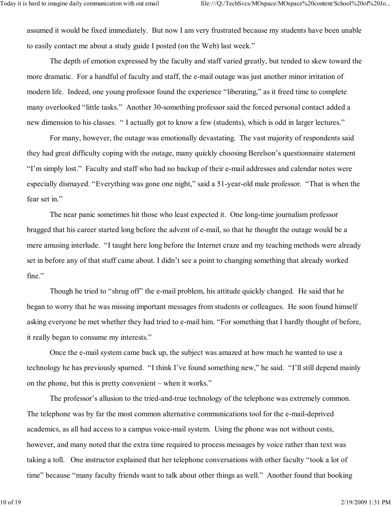assumed it would be fixed immediately. But now I am very frustrated because my students have been unable to easily contact me about a study guide I posted (on the Web) last week."

The depth of emotion expressed by the faculty and staff varied greatly, but tended to skew toward the more dramatic. For a handful of faculty and staff, the e-mail outage was just another minor irritation of modern life. Indeed, one young professor found the experience "liberating," as it freed time to complete many overlooked "little tasks." Another 30-something professor said the forced personal contact added a new dimension to his classes. " I actually got to know a few (students), which is odd in larger lectures."

For many, however, the outage was emotionally devastating. The vast majority of respondents said they had great difficulty coping with the outage, many quickly choosing Berelson's questionnaire statement "I'm simply lost." Faculty and staff who had no backup of their e-mail addresses and calendar notes were especially dismayed. "Everything was gone one night," said a 51-year-old male professor. "That is when the fear set in."

The near panic sometimes hit those who least expected it. One long-time journalism professor bragged that his career started long before the advent of e-mail, so that he thought the outage would be a mere amusing interlude. "I taught here long before the Internet craze and my teaching methods were already set in before any of that stuff came about. I didn't see a point to changing something that already worked fine."

Though he tried to "shrug off" the e-mail problem, his attitude quickly changed. He said that he began to worry that he was missing important messages from students or colleagues. He soon found himself asking everyone he met whether they had tried to e-mail him. "For something that I hardly thought of before, it really began to consume my interests."

Once the e-mail system came back up, the subject was amazed at how much he wanted to use a technology he has previously spurned. "I think I've found something new," he said. "I'll still depend mainly on the phone, but this is pretty convenient – when it works."

The professor's allusion to the tried-and-true technology of the telephone was extremely common. The telephone was by far the most common alternative communications tool for the e-mail-deprived academics, as all had access to a campus voice-mail system. Using the phone was not without costs, however, and many noted that the extra time required to process messages by voice rather than text was taking a toll. One instructor explained that her telephone conversations with other faculty "took a lot of time" because "many faculty friends want to talk about other things as well." Another found that booking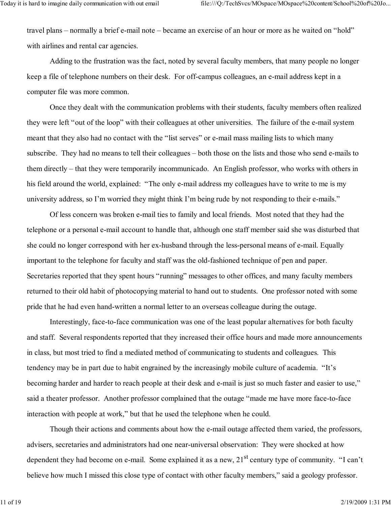travel plans – normally a brief e-mail note – became an exercise of an hour or more as he waited on "hold" with airlines and rental car agencies.

Adding to the frustration was the fact, noted by several faculty members, that many people no longer keep a file of telephone numbers on their desk. For off-campus colleagues, an e-mail address kept in a computer file was more common.

Once they dealt with the communication problems with their students, faculty members often realized they were left "out of the loop" with their colleagues at other universities. The failure of the e-mail system meant that they also had no contact with the "list serves" or e-mail mass mailing lists to which many subscribe. They had no means to tell their colleagues – both those on the lists and those who send e-mails to them directly – that they were temporarily incommunicado. An English professor, who works with others in his field around the world, explained: "The only e-mail address my colleagues have to write to me is my university address, so I'm worried they might think I'm being rude by not responding to their e-mails."

 Of less concern was broken e-mail ties to family and local friends. Most noted that they had the telephone or a personal e-mail account to handle that, although one staff member said she was disturbed that she could no longer correspond with her ex-husband through the less-personal means of e-mail. Equally important to the telephone for faculty and staff was the old-fashioned technique of pen and paper. Secretaries reported that they spent hours "running" messages to other offices, and many faculty members returned to their old habit of photocopying material to hand out to students. One professor noted with some pride that he had even hand-written a normal letter to an overseas colleague during the outage.

Interestingly, face-to-face communication was one of the least popular alternatives for both faculty and staff. Several respondents reported that they increased their office hours and made more announcements in class, but most tried to find a mediated method of communicating to students and colleagues. This tendency may be in part due to habit engrained by the increasingly mobile culture of academia. "It's becoming harder and harder to reach people at their desk and e-mail is just so much faster and easier to use," said a theater professor. Another professor complained that the outage "made me have more face-to-face interaction with people at work," but that he used the telephone when he could.

Though their actions and comments about how the e-mail outage affected them varied, the professors, advisers, secretaries and administrators had one near-universal observation: They were shocked at how dependent they had become on e-mail. Some explained it as a new, 21<sup>st</sup> century type of community. "I can't believe how much I missed this close type of contact with other faculty members," said a geology professor.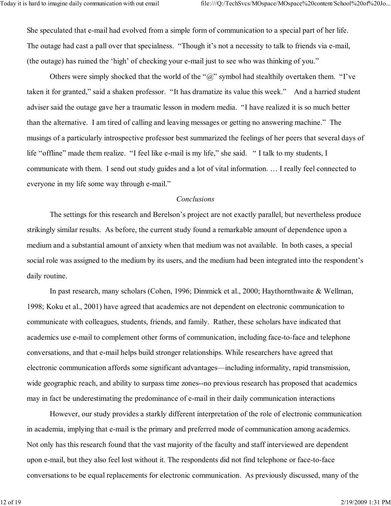She speculated that e-mail had evolved from a simple form of communication to a special part of her life. The outage had cast a pall over that specialness. "Though it's not a necessity to talk to friends via e-mail, (the outage) has ruined the 'high' of checking your e-mail just to see who was thinking of you."

Others were simply shocked that the world of the " $\hat{a}$ " symbol had stealthily overtaken them. "I've taken it for granted," said a shaken professor. "It has dramatize its value this week." And a harried student adviser said the outage gave her a traumatic lesson in modern media. "I have realized it is so much better than the alternative. I am tired of calling and leaving messages or getting no answering machine." The musings of a particularly introspective professor best summarized the feelings of her peers that several days of life "offline" made them realize. "I feel like e-mail is my life," she said. " I talk to my students, I communicate with them. I send out study guides and a lot of vital information. … I really feel connected to everyone in my life some way through e-mail."

#### Conclusions

 The settings for this research and Berelson's project are not exactly parallel, but nevertheless produce strikingly similar results. As before, the current study found a remarkable amount of dependence upon a medium and a substantial amount of anxiety when that medium was not available. In both cases, a special social role was assigned to the medium by its users, and the medium had been integrated into the respondent's daily routine.

 In past research, many scholars (Cohen, 1996; Dimmick et al., 2000; Haythornthwaite & Wellman, 1998; Koku et al., 2001) have agreed that academics are not dependent on electronic communication to communicate with colleagues, students, friends, and family. Rather, these scholars have indicated that academics use e-mail to complement other forms of communication, including face-to-face and telephone conversations, and that e-mail helps build stronger relationships. While researchers have agreed that electronic communication affords some significant advantages—including informality, rapid transmission, wide geographic reach, and ability to surpass time zones--no previous research has proposed that academics may in fact be underestimating the predominance of e-mail in their daily communication interactions

However, our study provides a starkly different interpretation of the role of electronic communication in academia, implying that e-mail is the primary and preferred mode of communication among academics. Not only has this research found that the vast majority of the faculty and staff interviewed are dependent upon e-mail, but they also feel lost without it. The respondents did not find telephone or face-to-face conversations to be equal replacements for electronic communication. As previously discussed, many of the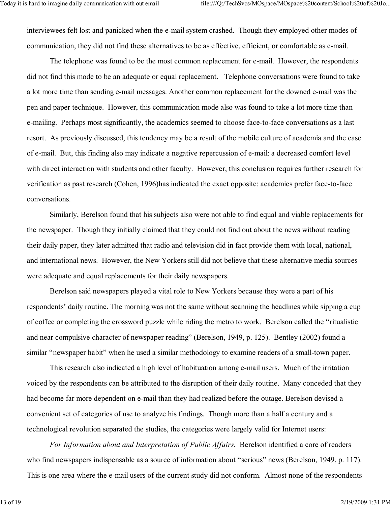interviewees felt lost and panicked when the e-mail system crashed. Though they employed other modes of communication, they did not find these alternatives to be as effective, efficient, or comfortable as e-mail.

The telephone was found to be the most common replacement for e-mail. However, the respondents did not find this mode to be an adequate or equal replacement. Telephone conversations were found to take a lot more time than sending e-mail messages. Another common replacement for the downed e-mail was the pen and paper technique. However, this communication mode also was found to take a lot more time than e-mailing. Perhaps most significantly, the academics seemed to choose face-to-face conversations as a last resort. As previously discussed, this tendency may be a result of the mobile culture of academia and the ease of e-mail. But, this finding also may indicate a negative repercussion of e-mail: a decreased comfort level with direct interaction with students and other faculty. However, this conclusion requires further research for verification as past research (Cohen, 1996)has indicated the exact opposite: academics prefer face-to-face conversations.

Similarly, Berelson found that his subjects also were not able to find equal and viable replacements for the newspaper. Though they initially claimed that they could not find out about the news without reading their daily paper, they later admitted that radio and television did in fact provide them with local, national, and international news. However, the New Yorkers still did not believe that these alternative media sources were adequate and equal replacements for their daily newspapers.

Berelson said newspapers played a vital role to New Yorkers because they were a part of his respondents' daily routine. The morning was not the same without scanning the headlines while sipping a cup of coffee or completing the crossword puzzle while riding the metro to work. Berelson called the "ritualistic and near compulsive character of newspaper reading" (Berelson, 1949, p. 125). Bentley (2002) found a similar "newspaper habit" when he used a similar methodology to examine readers of a small-town paper.

This research also indicated a high level of habituation among e-mail users. Much of the irritation voiced by the respondents can be attributed to the disruption of their daily routine. Many conceded that they had become far more dependent on e-mail than they had realized before the outage. Berelson devised a convenient set of categories of use to analyze his findings. Though more than a half a century and a technological revolution separated the studies, the categories were largely valid for Internet users:

 For Information about and Interpretation of Public Affairs. Berelson identified a core of readers who find newspapers indispensable as a source of information about "serious" news (Berelson, 1949, p. 117). This is one area where the e-mail users of the current study did not conform. Almost none of the respondents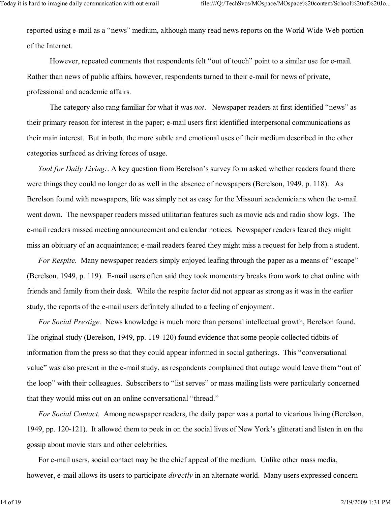reported using e-mail as a "news" medium, although many read news reports on the World Wide Web portion of the Internet.

 However, repeated comments that respondents felt "out of touch" point to a similar use for e-mail. Rather than news of public affairs, however, respondents turned to their e-mail for news of private, professional and academic affairs.

The category also rang familiar for what it was *not*. Newspaper readers at first identified "news" as their primary reason for interest in the paper; e-mail users first identified interpersonal communications as their main interest. But in both, the more subtle and emotional uses of their medium described in the other categories surfaced as driving forces of usage.

Tool for Daily Living: A key question from Berelson's survey form asked whether readers found there were things they could no longer do as well in the absence of newspapers (Berelson, 1949, p. 118). As Berelson found with newspapers, life was simply not as easy for the Missouri academicians when the e-mail went down. The newspaper readers missed utilitarian features such as movie ads and radio show logs. The e-mail readers missed meeting announcement and calendar notices. Newspaper readers feared they might miss an obituary of an acquaintance; e-mail readers feared they might miss a request for help from a student.

For Respite. Many newspaper readers simply enjoyed leafing through the paper as a means of "escape" (Berelson, 1949, p. 119). E-mail users often said they took momentary breaks from work to chat online with friends and family from their desk. While the respite factor did not appear as strong as it was in the earlier study, the reports of the e-mail users definitely alluded to a feeling of enjoyment.

For Social Prestige. News knowledge is much more than personal intellectual growth, Berelson found. The original study (Berelson, 1949, pp. 119-120) found evidence that some people collected tidbits of information from the press so that they could appear informed in social gatherings. This "conversational value" was also present in the e-mail study, as respondents complained that outage would leave them "out of the loop" with their colleagues. Subscribers to "list serves" or mass mailing lists were particularly concerned that they would miss out on an online conversational "thread."

For Social Contact. Among newspaper readers, the daily paper was a portal to vicarious living (Berelson, 1949, pp. 120-121). It allowed them to peek in on the social lives of New York's glitterati and listen in on the gossip about movie stars and other celebrities.

For e-mail users, social contact may be the chief appeal of the medium. Unlike other mass media, however, e-mail allows its users to participate *directly* in an alternate world. Many users expressed concern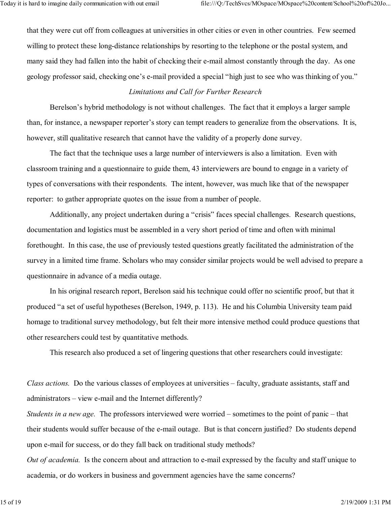that they were cut off from colleagues at universities in other cities or even in other countries. Few seemed willing to protect these long-distance relationships by resorting to the telephone or the postal system, and many said they had fallen into the habit of checking their e-mail almost constantly through the day. As one geology professor said, checking one's e-mail provided a special "high just to see who was thinking of you."

## Limitations and Call for Further Research

 Berelson's hybrid methodology is not without challenges. The fact that it employs a larger sample than, for instance, a newspaper reporter's story can tempt readers to generalize from the observations. It is, however, still qualitative research that cannot have the validity of a properly done survey.

The fact that the technique uses a large number of interviewers is also a limitation. Even with classroom training and a questionnaire to guide them, 43 interviewers are bound to engage in a variety of types of conversations with their respondents. The intent, however, was much like that of the newspaper reporter: to gather appropriate quotes on the issue from a number of people.

Additionally, any project undertaken during a "crisis" faces special challenges. Research questions, documentation and logistics must be assembled in a very short period of time and often with minimal forethought. In this case, the use of previously tested questions greatly facilitated the administration of the survey in a limited time frame. Scholars who may consider similar projects would be well advised to prepare a questionnaire in advance of a media outage.

In his original research report, Berelson said his technique could offer no scientific proof, but that it produced "a set of useful hypotheses (Berelson, 1949, p. 113). He and his Columbia University team paid homage to traditional survey methodology, but felt their more intensive method could produce questions that other researchers could test by quantitative methods.

This research also produced a set of lingering questions that other researchers could investigate:

Class actions. Do the various classes of employees at universities – faculty, graduate assistants, staff and administrators – view e-mail and the Internet differently?

Students in a new age. The professors interviewed were worried – sometimes to the point of panic – that their students would suffer because of the e-mail outage. But is that concern justified? Do students depend upon e-mail for success, or do they fall back on traditional study methods?

Out of academia. Is the concern about and attraction to e-mail expressed by the faculty and staff unique to academia, or do workers in business and government agencies have the same concerns?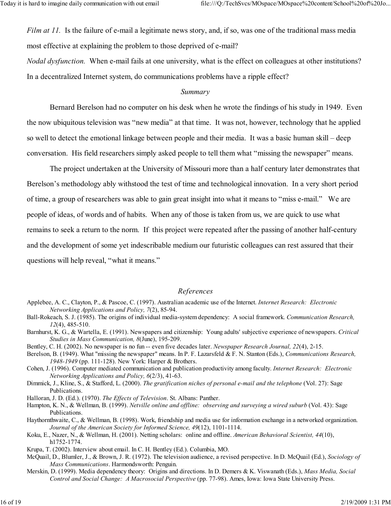Film at 11. Is the failure of e-mail a legitimate news story, and, if so, was one of the traditional mass media most effective at explaining the problem to those deprived of e-mail?

Nodal dysfunction. When e-mail fails at one university, what is the effect on colleagues at other institutions? In a decentralized Internet system, do communications problems have a ripple effect?

### Summary

 Bernard Berelson had no computer on his desk when he wrote the findings of his study in 1949. Even the now ubiquitous television was "new media" at that time. It was not, however, technology that he applied so well to detect the emotional linkage between people and their media. It was a basic human skill – deep conversation. His field researchers simply asked people to tell them what "missing the newspaper" means.

 The project undertaken at the University of Missouri more than a half century later demonstrates that Berelson's methodology ably withstood the test of time and technological innovation. In a very short period of time, a group of researchers was able to gain great insight into what it means to "miss e-mail." We are people of ideas, of words and of habits. When any of those is taken from us, we are quick to use what remains to seek a return to the norm. If this project were repeated after the passing of another half-century and the development of some yet indescribable medium our futuristic colleagues can rest assured that their questions will help reveal, "what it means."

#### References

- Applebee, A. C., Clayton, P., & Pascoe, C. (1997). Australian academic use of the Internet. Internet Research: Electronic Networking Applications and Policy, 7(2), 85-94.
- Ball-Rokeach, S. J. (1985). The origins of individual media-system dependency: A social framework. Communication Research, 12(4), 485-510.
- Barnhurst, K. G., & Wartella, E. (1991). Newspapers and citizenship: Young adults' subjective experience of newspapers. Critical Studies in Mass Communication, 8(June), 195-209.
- Bentley, C. H. (2002). No newspaper is no fun -- even five decades later. Newspaper Research Journal, 22(4), 2-15.
- Berelson, B. (1949). What "missing the newspaper" means. In P. F. Lazarsfeld & F. N. Stanton (Eds.), Communications Research, 1948-1949 (pp. 111-128). New York: Harper & Brothers.
- Cohen, J. (1996). Computer mediated communication and publication productivity among faculty. Internet Research: Electronic Networking Applications and Policy, 6(2/3), 41-63.
- Dimmick, J., Kline, S., & Stafford, L. (2000). The gratification niches of personal e-mail and the telephone (Vol. 27): Sage Publications.
- Halloran, J. D. (Ed.). (1970). The Effects of Television. St. Albans: Panther.

Hampton, K. N., & Wellman, B. (1999). Netville online and offline: observing and surveying a wired suburb (Vol. 43): Sage Publications.

Haythornthwaite, C., & Wellman, B. (1998). Work, friendship and media use for information exchange in a networked organization. Journal of the American Society for Informed Science, 49(12), 1101-1114.

- Koku, E., Nazer, N., & Wellman, H. (2001). Netting scholars: online and offline. American Behavioral Scientist, 44(10), h1752-1774.
- Krupa, T. (2002). Interview about email. In C. H. Bentley (Ed.). Columbia, MO.
- McQuail, D., Blumler, J., & Brown, J. R. (1972). The television audience, a revised perspective. In D. McQuail (Ed.), Sociology of Mass Communications. Harmondsworth: Penguin.
- Merskin, D. (1999). Media dependency theory: Origins and directions. In D. Demers & K. Viswanath (Eds.), Mass Media, Social Control and Social Change: A Macrosocial Perspective (pp. 77-98). Ames, Iowa: Iowa State University Press.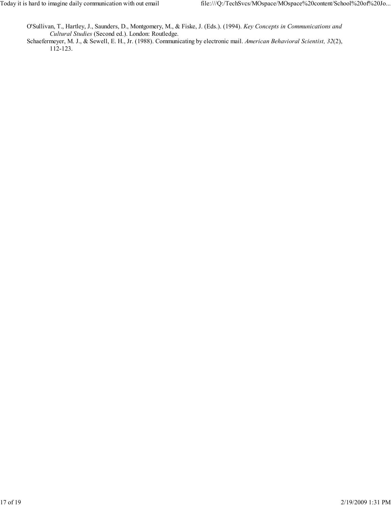O'Sullivan, T., Hartley, J., Saunders, D., Montgomery, M., & Fiske, J. (Eds.). (1994). Key Concepts in Communications and Cultural Studies (Second ed.). London: Routledge.

Schaefermeyer, M. J., & Sewell, E. H., Jr. (1988). Communicating by electronic mail. American Behavioral Scientist, 32(2), 112-123.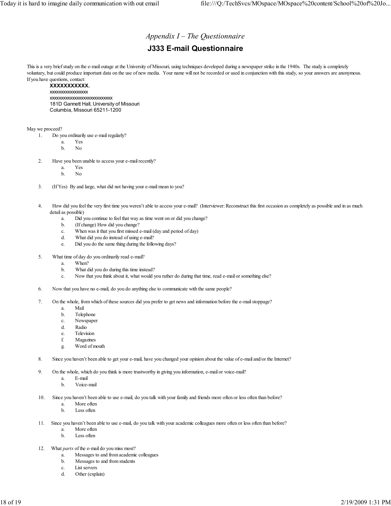## Appendix  $I$  – The Questionnaire

## J333 E-mail Questionnaire

This is a very brief study on the e-mail outage at the University of Missouri, using techniques developed during a newspaper strike in the 1940s. The study is completely voluntary, but could produce important data on the use of new media. Your name will not be recorded or used in conjunction with this study, so your answers are anonymous. If you have questions, contact:

#### XXXXXXXXXXX.

xxxxxxxxxxxxxxxxx xxxxxxxxxxxxxxxxxxxxxxxxxxxx 181D Gannett Hall, University of Missouri Columbia, Missouri 65211-1200

May we proceed?

- 1. Do you ordinarily use e-mail regularly?
	- a. Yes
	- b. No
	- 2. Have you been unable to access your e-mail recently?
		- a. Yes
		- b. No
	- 3. (If Yes) By and large, what did not having your e-mail mean to you?
	- 4. How did you feel the very first time you weren't able to access your e-mail? (Interviewer: Reconstruct this first occasion as completely as possible and in as much detail as possible)
		- a. Did you continue to feel that way as time went on or did you change?
		- b. (If change) How did you change?
		- c. When was it that you first missed e-mail (day and period of day)
		- d. What did you do instead of using e-mail?
		- e. Did you do the same thing during the following days?
- 5. What time of day do you ordinarily read e-mail?
	- a. When?
	- b. What did you do during this time instead?
	- c. Now that you think about it, what would you rather do during that time, read e-mail or something else?
- 6. Now that you have no e-mail, do you do anything else to communicate with the same people?
- 7. On the whole, from which of these sources did you prefer to get news and information before the e-mail stoppage?
	- a. Mail
	- b. Telephone
	- c. Newspaper
	- d. Radio
	- e. Television
	- f. Magazines g. Word of mouth
- 8. Since you haven't been able to get your e-mail, have you changed your opinion about the value of e-mail and/or the Internet?
- 9. On the whole, which do you think is more trustworthy in giving you information, e-mail or voice-mail?
	- a. E-mail
	- b. Voice-mail
- 10. Since you haven't been able to use e-mail, do you talk with your family and friends more often or less often than before?
	- a. More often
	- b. Less often
- 11. Since you haven't been able to use e-mail, do you talk with your academic colleagues more often or less often than before?
	- a. More often
	- b. Less often
- 12. What *parts* of the e-mail do you miss most?
	- a. Messages to and from academic colleagues
	- b. Messages to and from students
	- c. List servers
	- d. Other (explain)